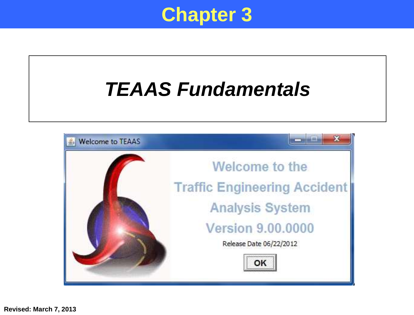

## *TEAAS Fundamentals*

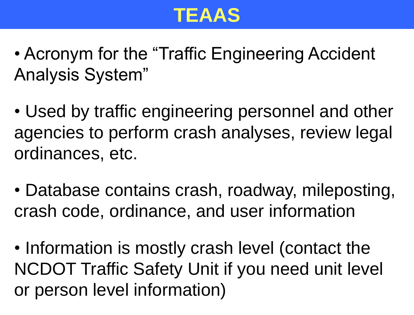

- Acronym for the "Traffic Engineering Accident Analysis System"
- Used by traffic engineering personnel and other agencies to perform crash analyses, review legal ordinances, etc.
- Database contains crash, roadway, mileposting, crash code, ordinance, and user information
- Information is mostly crash level (contact the NCDOT Traffic Safety Unit if you need unit level or person level information)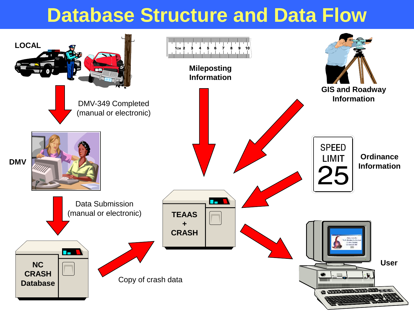### **Database Structure and Data Flow**

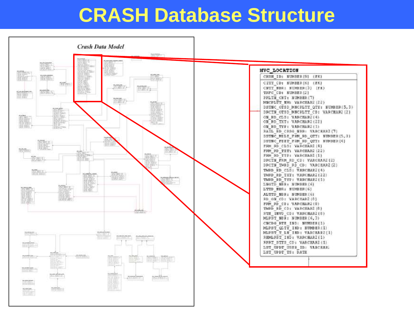#### **CRASH Database Structure**

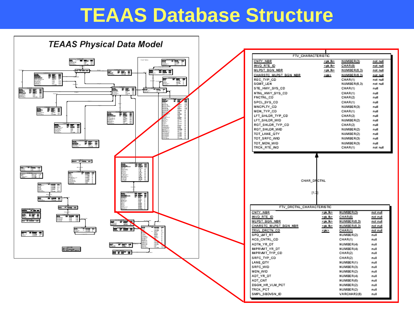#### **TEAAS Database Structure**

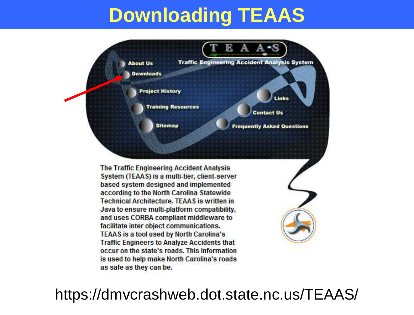## **Downloading TEAAS**



The Traffic Engineering Accident Analysis System (TEAAS) is a multi-tier, client-server based system designed and implemented according to the North Carolina Statewide **Technical Architecture, TEAAS is written in** Java to ensure multi-platform compatibility, and uses CORBA compliant middleware to facilitate inter object communications. **TEAAS is a tool used by North Carolina's Traffic Engineers to Analyze Accidents that** occur on the state's roads. This information is used to help make North Carolina's roads as safe as they can be.

#### https://dmvcrashweb.dot.state.nc.us/TEAAS/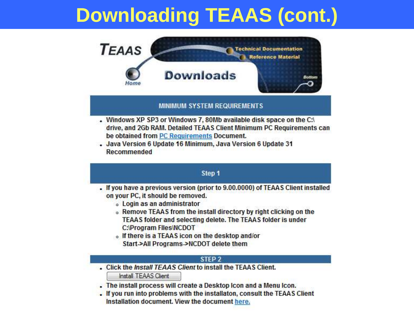## **Downloading TEAAS (cont.)**



#### **MINIMUM SYSTEM REQUIREMENTS**

- . Windows XP SP3 or Windows 7, 80Mb available disk space on the C:\ drive, and 2Gb RAM. Detailed TEAAS Client Minimum PC Requirements can be obtained from PC Requirements Document.
- . Java Version 6 Update 16 Minimum, Java Version 6 Update 31 Recommended

#### Step 1

- . If you have a previous version (prior to 9.00.0000) of TEAAS Client installed on your PC, it should be removed.
	- **Login as an administrator**
	- . Remove TEAAS from the install directory by right clicking on the TEAAS folder and selecting delete. The TEAAS folder is under **C:\Program Flies\NCDOT**
	- o If there is a TEAAS icon on the desktop and/or Start->All Programs->NCDOT delete them

#### STEP<sub>2</sub>

. Click the Install TEAAS Client to install the TEAAS Client.

Install TEAAS Client

- . The install process will create a Desktop Icon and a Menu Icon.
- . If you run into problems with the installaton, consult the TEAAS Client Installation document. View the document here.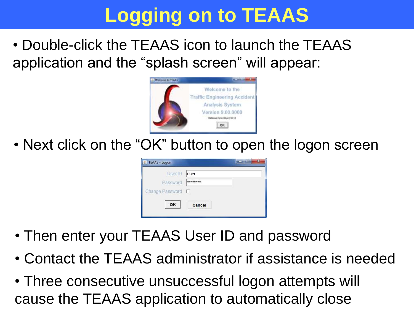# **Logging on to TEAAS**

• Double-click the TEAAS icon to launch the TEAAS application and the "splash screen" will appear:



• Next click on the "OK" button to open the logon screen



- Then enter your TEAAS User ID and password
- Contact the TEAAS administrator if assistance is needed
- Three consecutive unsuccessful logon attempts will cause the TEAAS application to automatically close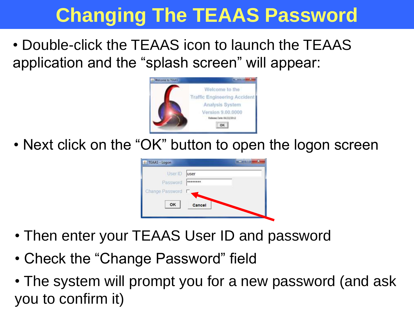## **Changing The TEAAS Password**

• Double-click the TEAAS icon to launch the TEAAS application and the "splash screen" will appear:



• Next click on the "OK" button to open the logon screen



- Then enter your TEAAS User ID and password
- Check the "Change Password" field
- The system will prompt you for a new password (and ask you to confirm it)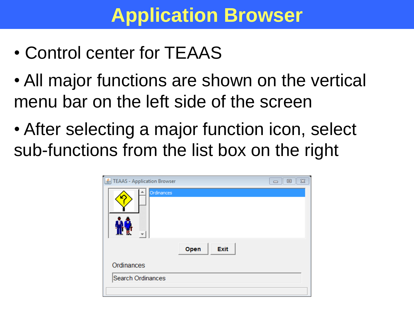### **Application Browser**

- Control center for TEAAS
- All major functions are shown on the vertical menu bar on the left side of the screen
- After selecting a major function icon, select sub-functions from the list box on the right

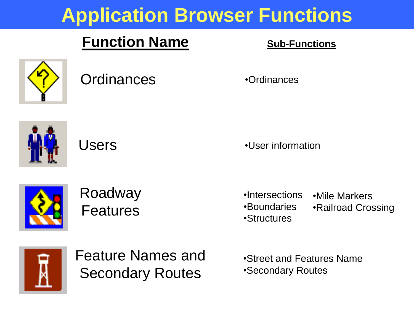## **Application Browser Functions**

#### **Function Name Sub-Functions**





Roadway Features

Users **Contains Contains Contains Contains Contains Contains Contains Contains Contains Contains Contains Conta** 

•Intersections •Mile Markers

- •Boundaries
- •Railroad Crossing
- •Structures
- 



Feature Names and Secondary Routes

•Street and Features Name •Secondary Routes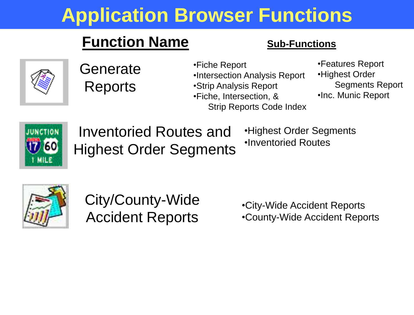## **Application Browser Functions**

#### **Function Name Sub-Functions**



**Generate** Reports

•Fiche Report •Intersection Analysis Report •Strip Analysis Report •Fiche, Intersection, & Strip Reports Code Index

•Features Report •Highest Order Segments Report •Inc. Munic Report

Inventoried Routes and Highest Order Segments •Highest Order Segments •Inventoried Routes



City/County-Wide Accident Reports

•City-Wide Accident Reports •County-Wide Accident Reports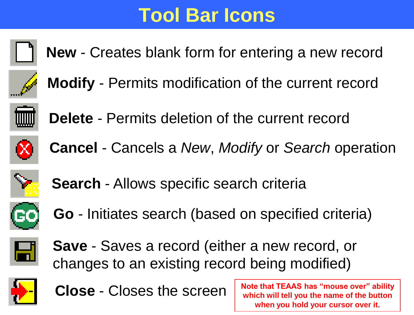## **Tool Bar Icons**



**New** - Creates blank form for entering a new record



**Modify** - Permits modification of the current record



**Delete** - Permits deletion of the current record



**Cancel** - Cancels a *New*, *Modify* or *Search* operation



**Search** - Allows specific search criteria



**Go** - Initiates search (based on specified criteria)



**Save** - Saves a record (either a new record, or changes to an existing record being modified)



**Close** - Closes the screen

**Note that TEAAS has "mouse over" ability which will tell you the name of the button when you hold your cursor over it.**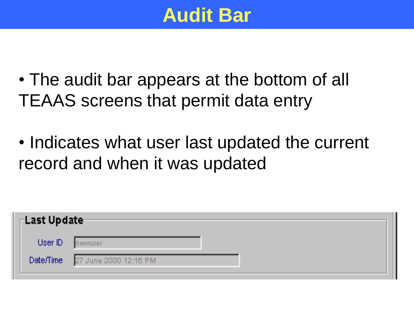

- The audit bar appears at the bottom of all TEAAS screens that permit data entry
- Indicates what user last updated the current record and when it was updated

| $\sqcap$ Last Update- |                        |  |
|-----------------------|------------------------|--|
| User ID               | newuser                |  |
| Date/Time             | 27 June 2000 12:16 PM/ |  |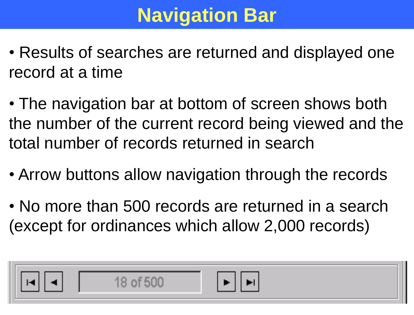## **Navigation Bar**

- Results of searches are returned and displayed one record at a time
- The navigation bar at bottom of screen shows both the number of the current record being viewed and the total number of records returned in search
- Arrow buttons allow navigation through the records
- No more than 500 records are returned in a search (except for ordinances which allow 2,000 records)